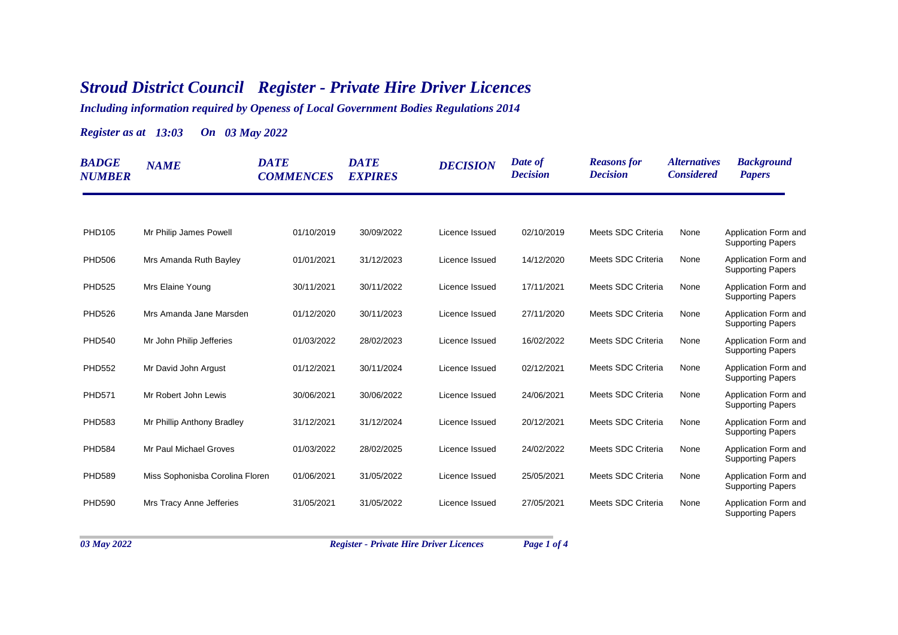## *Stroud District Council Register - Private Hire Driver Licences*

*Including information required by Openess of Local Government Bodies Regulations 2014*

*Register as at 13:03 On 03 May 2022*

| <b>BADGE</b><br><b>NUMBER</b> | <b>NAME</b>                     | <b>DATE</b><br><b>COMMENCES</b> | <b>DATE</b><br><b>EXPIRES</b> | <b>DECISION</b> | Date of<br><b>Decision</b> | <b>Reasons for</b><br><b>Decision</b> | <i><b>Alternatives</b></i><br><b>Considered</b> | <b>Background</b><br><b>Papers</b>               |
|-------------------------------|---------------------------------|---------------------------------|-------------------------------|-----------------|----------------------------|---------------------------------------|-------------------------------------------------|--------------------------------------------------|
|                               |                                 |                                 |                               |                 |                            |                                       |                                                 |                                                  |
| PHD105                        | Mr Philip James Powell          | 01/10/2019                      | 30/09/2022                    | Licence Issued  | 02/10/2019                 | Meets SDC Criteria                    | None                                            | Application Form and<br><b>Supporting Papers</b> |
| <b>PHD506</b>                 | Mrs Amanda Ruth Bayley          | 01/01/2021                      | 31/12/2023                    | Licence Issued  | 14/12/2020                 | Meets SDC Criteria                    | None                                            | Application Form and<br><b>Supporting Papers</b> |
| <b>PHD525</b>                 | Mrs Elaine Young                | 30/11/2021                      | 30/11/2022                    | Licence Issued  | 17/11/2021                 | Meets SDC Criteria                    | None                                            | Application Form and<br><b>Supporting Papers</b> |
| <b>PHD526</b>                 | Mrs Amanda Jane Marsden         | 01/12/2020                      | 30/11/2023                    | Licence Issued  | 27/11/2020                 | Meets SDC Criteria                    | None                                            | Application Form and<br><b>Supporting Papers</b> |
| <b>PHD540</b>                 | Mr John Philip Jefferies        | 01/03/2022                      | 28/02/2023                    | Licence Issued  | 16/02/2022                 | Meets SDC Criteria                    | None                                            | Application Form and<br><b>Supporting Papers</b> |
| <b>PHD552</b>                 | Mr David John Argust            | 01/12/2021                      | 30/11/2024                    | Licence Issued  | 02/12/2021                 | Meets SDC Criteria                    | None                                            | Application Form and<br><b>Supporting Papers</b> |
| <b>PHD571</b>                 | Mr Robert John Lewis            | 30/06/2021                      | 30/06/2022                    | Licence Issued  | 24/06/2021                 | Meets SDC Criteria                    | None                                            | Application Form and<br><b>Supporting Papers</b> |
| <b>PHD583</b>                 | Mr Phillip Anthony Bradley      | 31/12/2021                      | 31/12/2024                    | Licence Issued  | 20/12/2021                 | Meets SDC Criteria                    | None                                            | Application Form and<br><b>Supporting Papers</b> |
| <b>PHD584</b>                 | Mr Paul Michael Groves          | 01/03/2022                      | 28/02/2025                    | Licence Issued  | 24/02/2022                 | Meets SDC Criteria                    | None                                            | Application Form and<br><b>Supporting Papers</b> |
| <b>PHD589</b>                 | Miss Sophonisba Corolina Floren | 01/06/2021                      | 31/05/2022                    | Licence Issued  | 25/05/2021                 | Meets SDC Criteria                    | None                                            | Application Form and<br><b>Supporting Papers</b> |
| <b>PHD590</b>                 | Mrs Tracy Anne Jefferies        | 31/05/2021                      | 31/05/2022                    | Licence Issued  | 27/05/2021                 | Meets SDC Criteria                    | None                                            | Application Form and<br><b>Supporting Papers</b> |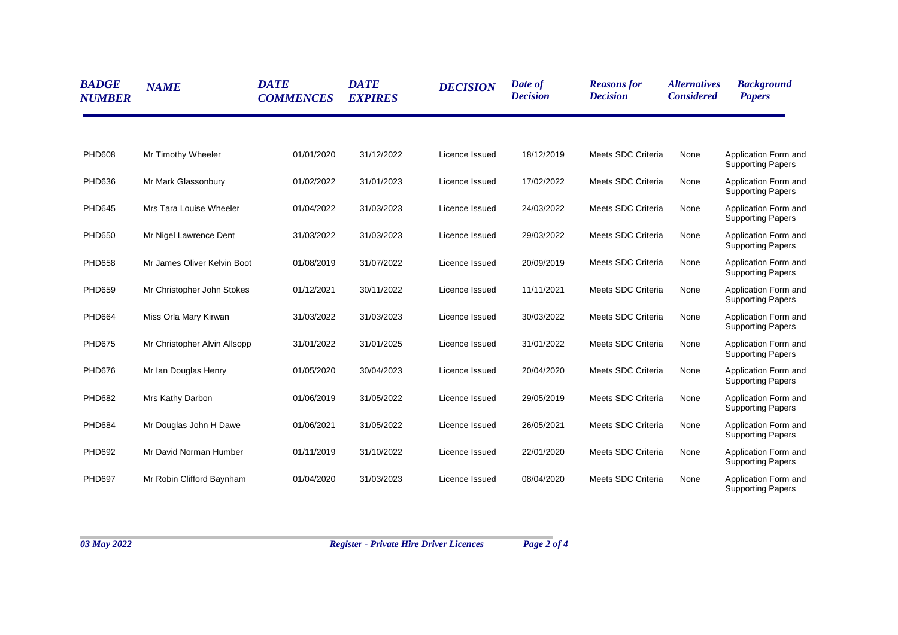| <b>BADGE</b><br><b>NUMBER</b> | <b>NAME</b>                  | <b>DATE</b><br><b>COMMENCES</b> | <b>DATE</b><br><b>EXPIRES</b> | <b>DECISION</b> | Date of<br><b>Decision</b> | <b>Reasons for</b><br><b>Decision</b> | <i><b>Alternatives</b></i><br><b>Considered</b> | <b>Background</b><br><b>Papers</b>               |
|-------------------------------|------------------------------|---------------------------------|-------------------------------|-----------------|----------------------------|---------------------------------------|-------------------------------------------------|--------------------------------------------------|
|                               |                              |                                 |                               |                 |                            |                                       |                                                 |                                                  |
| <b>PHD608</b>                 | Mr Timothy Wheeler           | 01/01/2020                      | 31/12/2022                    | Licence Issued  | 18/12/2019                 | Meets SDC Criteria                    | None                                            | Application Form and<br><b>Supporting Papers</b> |
| <b>PHD636</b>                 | Mr Mark Glassonbury          | 01/02/2022                      | 31/01/2023                    | Licence Issued  | 17/02/2022                 | Meets SDC Criteria                    | None                                            | Application Form and<br><b>Supporting Papers</b> |
| <b>PHD645</b>                 | Mrs Tara Louise Wheeler      | 01/04/2022                      | 31/03/2023                    | Licence Issued  | 24/03/2022                 | Meets SDC Criteria                    | None                                            | Application Form and<br><b>Supporting Papers</b> |
| <b>PHD650</b>                 | Mr Nigel Lawrence Dent       | 31/03/2022                      | 31/03/2023                    | Licence Issued  | 29/03/2022                 | Meets SDC Criteria                    | None                                            | Application Form and<br><b>Supporting Papers</b> |
| <b>PHD658</b>                 | Mr James Oliver Kelvin Boot  | 01/08/2019                      | 31/07/2022                    | Licence Issued  | 20/09/2019                 | Meets SDC Criteria                    | None                                            | Application Form and<br><b>Supporting Papers</b> |
| <b>PHD659</b>                 | Mr Christopher John Stokes   | 01/12/2021                      | 30/11/2022                    | Licence Issued  | 11/11/2021                 | Meets SDC Criteria                    | None                                            | Application Form and<br><b>Supporting Papers</b> |
| <b>PHD664</b>                 | Miss Orla Mary Kirwan        | 31/03/2022                      | 31/03/2023                    | Licence Issued  | 30/03/2022                 | Meets SDC Criteria                    | None                                            | Application Form and<br><b>Supporting Papers</b> |
| <b>PHD675</b>                 | Mr Christopher Alvin Allsopp | 31/01/2022                      | 31/01/2025                    | Licence Issued  | 31/01/2022                 | Meets SDC Criteria                    | None                                            | Application Form and<br><b>Supporting Papers</b> |
| <b>PHD676</b>                 | Mr Ian Douglas Henry         | 01/05/2020                      | 30/04/2023                    | Licence Issued  | 20/04/2020                 | Meets SDC Criteria                    | None                                            | Application Form and<br><b>Supporting Papers</b> |
| <b>PHD682</b>                 | Mrs Kathy Darbon             | 01/06/2019                      | 31/05/2022                    | Licence Issued  | 29/05/2019                 | Meets SDC Criteria                    | None                                            | Application Form and<br><b>Supporting Papers</b> |
| <b>PHD684</b>                 | Mr Douglas John H Dawe       | 01/06/2021                      | 31/05/2022                    | Licence Issued  | 26/05/2021                 | Meets SDC Criteria                    | None                                            | Application Form and<br><b>Supporting Papers</b> |
| <b>PHD692</b>                 | Mr David Norman Humber       | 01/11/2019                      | 31/10/2022                    | Licence Issued  | 22/01/2020                 | Meets SDC Criteria                    | None                                            | Application Form and<br><b>Supporting Papers</b> |
| <b>PHD697</b>                 | Mr Robin Clifford Baynham    | 01/04/2020                      | 31/03/2023                    | Licence Issued  | 08/04/2020                 | Meets SDC Criteria                    | None                                            | Application Form and<br><b>Supporting Papers</b> |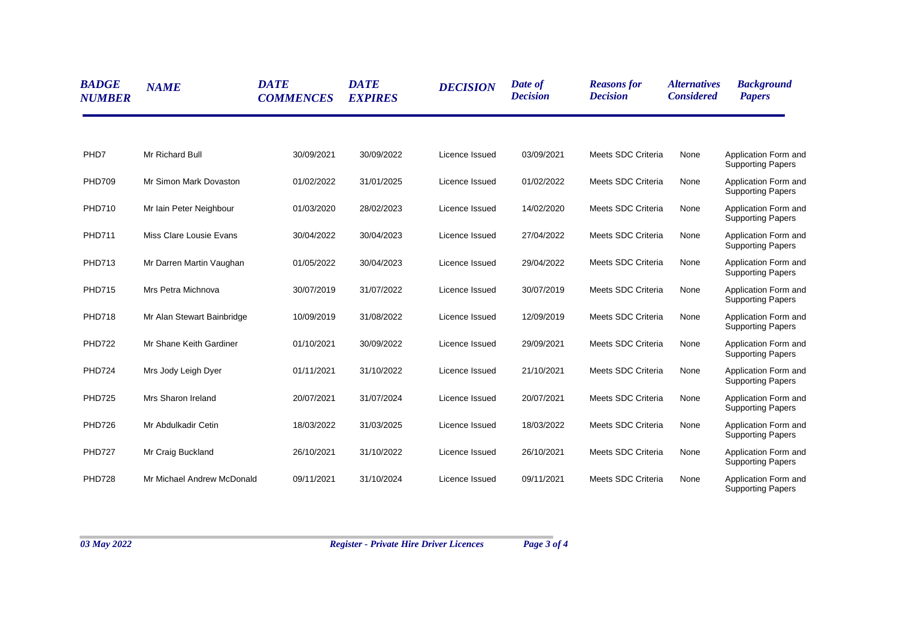| <b>BADGE</b><br><b>NUMBER</b> | <b>NAME</b>                | <b>DATE</b><br><b>COMMENCES</b> | <b>DATE</b><br><b>EXPIRES</b> | <b>DECISION</b> | Date of<br><b>Decision</b> | <b>Reasons for</b><br><b>Decision</b> | <i><b>Alternatives</b></i><br><b>Considered</b> | <b>Background</b><br><b>Papers</b>               |
|-------------------------------|----------------------------|---------------------------------|-------------------------------|-----------------|----------------------------|---------------------------------------|-------------------------------------------------|--------------------------------------------------|
|                               |                            |                                 |                               |                 |                            |                                       |                                                 |                                                  |
| PHD7                          | Mr Richard Bull            | 30/09/2021                      | 30/09/2022                    | Licence Issued  | 03/09/2021                 | Meets SDC Criteria                    | None                                            | Application Form and<br><b>Supporting Papers</b> |
| <b>PHD709</b>                 | Mr Simon Mark Dovaston     | 01/02/2022                      | 31/01/2025                    | Licence Issued  | 01/02/2022                 | Meets SDC Criteria                    | None                                            | Application Form and<br><b>Supporting Papers</b> |
| <b>PHD710</b>                 | Mr Iain Peter Neighbour    | 01/03/2020                      | 28/02/2023                    | Licence Issued  | 14/02/2020                 | Meets SDC Criteria                    | None                                            | Application Form and<br><b>Supporting Papers</b> |
| <b>PHD711</b>                 | Miss Clare Lousie Evans    | 30/04/2022                      | 30/04/2023                    | Licence Issued  | 27/04/2022                 | Meets SDC Criteria                    | None                                            | Application Form and<br><b>Supporting Papers</b> |
| <b>PHD713</b>                 | Mr Darren Martin Vaughan   | 01/05/2022                      | 30/04/2023                    | Licence Issued  | 29/04/2022                 | Meets SDC Criteria                    | None                                            | Application Form and<br><b>Supporting Papers</b> |
| <b>PHD715</b>                 | Mrs Petra Michnova         | 30/07/2019                      | 31/07/2022                    | Licence Issued  | 30/07/2019                 | Meets SDC Criteria                    | None                                            | Application Form and<br><b>Supporting Papers</b> |
| <b>PHD718</b>                 | Mr Alan Stewart Bainbridge | 10/09/2019                      | 31/08/2022                    | Licence Issued  | 12/09/2019                 | Meets SDC Criteria                    | None                                            | Application Form and<br><b>Supporting Papers</b> |
| <b>PHD722</b>                 | Mr Shane Keith Gardiner    | 01/10/2021                      | 30/09/2022                    | Licence Issued  | 29/09/2021                 | Meets SDC Criteria                    | None                                            | Application Form and<br><b>Supporting Papers</b> |
| <b>PHD724</b>                 | Mrs Jody Leigh Dyer        | 01/11/2021                      | 31/10/2022                    | Licence Issued  | 21/10/2021                 | Meets SDC Criteria                    | None                                            | Application Form and<br><b>Supporting Papers</b> |
| <b>PHD725</b>                 | Mrs Sharon Ireland         | 20/07/2021                      | 31/07/2024                    | Licence Issued  | 20/07/2021                 | Meets SDC Criteria                    | None                                            | Application Form and<br><b>Supporting Papers</b> |
| <b>PHD726</b>                 | Mr Abdulkadir Cetin        | 18/03/2022                      | 31/03/2025                    | Licence Issued  | 18/03/2022                 | Meets SDC Criteria                    | None                                            | Application Form and<br><b>Supporting Papers</b> |
| <b>PHD727</b>                 | Mr Craig Buckland          | 26/10/2021                      | 31/10/2022                    | Licence Issued  | 26/10/2021                 | Meets SDC Criteria                    | None                                            | Application Form and<br><b>Supporting Papers</b> |
| <b>PHD728</b>                 | Mr Michael Andrew McDonald | 09/11/2021                      | 31/10/2024                    | Licence Issued  | 09/11/2021                 | Meets SDC Criteria                    | None                                            | Application Form and<br><b>Supporting Papers</b> |